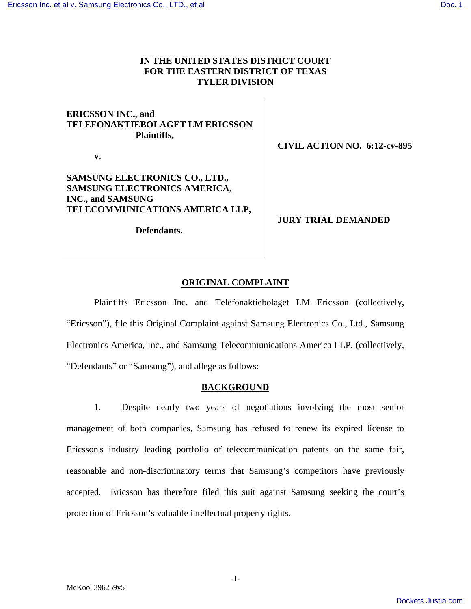# **IN THE UNITED STATES DISTRICT COURT FOR THE EASTERN DISTRICT OF TEXAS TYLER DIVISION**

# **ERICSSON INC., and TELEFONAKTIEBOLAGET LM ERICSSON Plaintiffs,**

 **v.** 

# **SAMSUNG ELECTRONICS CO., LTD., SAMSUNG ELECTRONICS AMERICA, INC., and SAMSUNG TELECOMMUNICATIONS AMERICA LLP,**

**Defendants.** 

**CIVIL ACTION NO. 6:12-cv-895** 

**JURY TRIAL DEMANDED** 

# **ORIGINAL COMPLAINT**

Plaintiffs Ericsson Inc. and Telefonaktiebolaget LM Ericsson (collectively, "Ericsson"), file this Original Complaint against Samsung Electronics Co., Ltd., Samsung Electronics America, Inc., and Samsung Telecommunications America LLP, (collectively, "Defendants" or "Samsung"), and allege as follows:

# **BACKGROUND**

1. Despite nearly two years of negotiations involving the most senior management of both companies, Samsung has refused to renew its expired license to Ericsson's industry leading portfolio of telecommunication patents on the same fair, reasonable and non-discriminatory terms that Samsung's competitors have previously accepted. Ericsson has therefore filed this suit against Samsung seeking the court's protection of Ericsson's valuable intellectual property rights.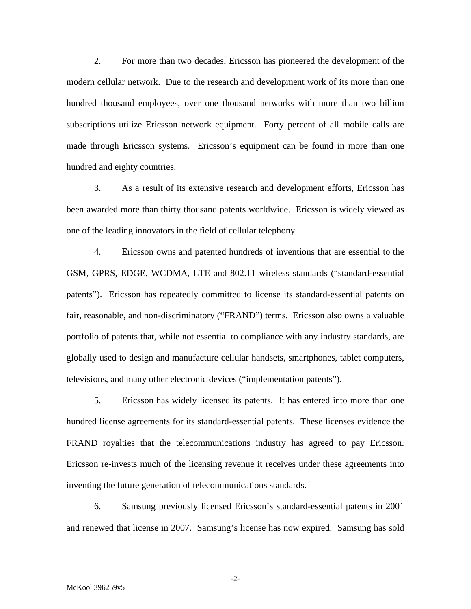2. For more than two decades, Ericsson has pioneered the development of the modern cellular network. Due to the research and development work of its more than one hundred thousand employees, over one thousand networks with more than two billion subscriptions utilize Ericsson network equipment. Forty percent of all mobile calls are made through Ericsson systems. Ericsson's equipment can be found in more than one hundred and eighty countries.

3. As a result of its extensive research and development efforts, Ericsson has been awarded more than thirty thousand patents worldwide. Ericsson is widely viewed as one of the leading innovators in the field of cellular telephony.

4. Ericsson owns and patented hundreds of inventions that are essential to the GSM, GPRS, EDGE, WCDMA, LTE and 802.11 wireless standards ("standard-essential patents"). Ericsson has repeatedly committed to license its standard-essential patents on fair, reasonable, and non-discriminatory ("FRAND") terms. Ericsson also owns a valuable portfolio of patents that, while not essential to compliance with any industry standards, are globally used to design and manufacture cellular handsets, smartphones, tablet computers, televisions, and many other electronic devices ("implementation patents").

5. Ericsson has widely licensed its patents. It has entered into more than one hundred license agreements for its standard-essential patents. These licenses evidence the FRAND royalties that the telecommunications industry has agreed to pay Ericsson. Ericsson re-invests much of the licensing revenue it receives under these agreements into inventing the future generation of telecommunications standards.

6. Samsung previously licensed Ericsson's standard-essential patents in 2001 and renewed that license in 2007. Samsung's license has now expired. Samsung has sold

-2-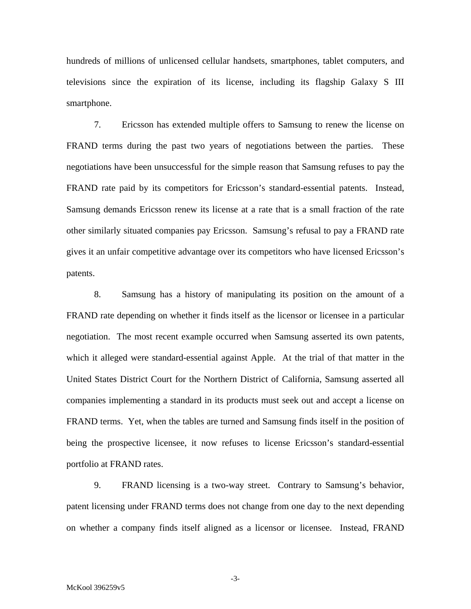hundreds of millions of unlicensed cellular handsets, smartphones, tablet computers, and televisions since the expiration of its license, including its flagship Galaxy S III smartphone.

7. Ericsson has extended multiple offers to Samsung to renew the license on FRAND terms during the past two years of negotiations between the parties. These negotiations have been unsuccessful for the simple reason that Samsung refuses to pay the FRAND rate paid by its competitors for Ericsson's standard-essential patents. Instead, Samsung demands Ericsson renew its license at a rate that is a small fraction of the rate other similarly situated companies pay Ericsson. Samsung's refusal to pay a FRAND rate gives it an unfair competitive advantage over its competitors who have licensed Ericsson's patents.

8. Samsung has a history of manipulating its position on the amount of a FRAND rate depending on whether it finds itself as the licensor or licensee in a particular negotiation. The most recent example occurred when Samsung asserted its own patents, which it alleged were standard-essential against Apple. At the trial of that matter in the United States District Court for the Northern District of California, Samsung asserted all companies implementing a standard in its products must seek out and accept a license on FRAND terms. Yet, when the tables are turned and Samsung finds itself in the position of being the prospective licensee, it now refuses to license Ericsson's standard-essential portfolio at FRAND rates.

9. FRAND licensing is a two-way street. Contrary to Samsung's behavior, patent licensing under FRAND terms does not change from one day to the next depending on whether a company finds itself aligned as a licensor or licensee. Instead, FRAND

-3-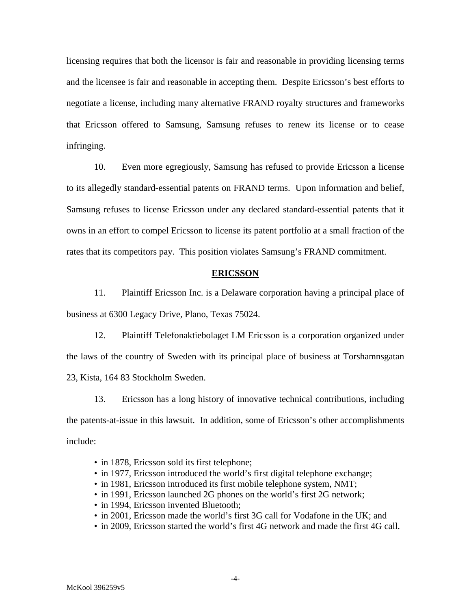licensing requires that both the licensor is fair and reasonable in providing licensing terms and the licensee is fair and reasonable in accepting them. Despite Ericsson's best efforts to negotiate a license, including many alternative FRAND royalty structures and frameworks that Ericsson offered to Samsung, Samsung refuses to renew its license or to cease infringing.

10. Even more egregiously, Samsung has refused to provide Ericsson a license to its allegedly standard-essential patents on FRAND terms. Upon information and belief, Samsung refuses to license Ericsson under any declared standard-essential patents that it owns in an effort to compel Ericsson to license its patent portfolio at a small fraction of the rates that its competitors pay. This position violates Samsung's FRAND commitment.

## **ERICSSON**

11. Plaintiff Ericsson Inc. is a Delaware corporation having a principal place of business at 6300 Legacy Drive, Plano, Texas 75024.

12. Plaintiff Telefonaktiebolaget LM Ericsson is a corporation organized under the laws of the country of Sweden with its principal place of business at Torshamnsgatan 23, Kista, 164 83 Stockholm Sweden.

13. Ericsson has a long history of innovative technical contributions, including the patents-at-issue in this lawsuit. In addition, some of Ericsson's other accomplishments include:

- in 1878, Ericsson sold its first telephone;
- in 1977, Ericsson introduced the world's first digital telephone exchange;
- in 1981, Ericsson introduced its first mobile telephone system, NMT;
- in 1991, Ericsson launched 2G phones on the world's first 2G network;
- in 1994, Ericsson invented Bluetooth;
- in 2001, Ericsson made the world's first 3G call for Vodafone in the UK; and
- in 2009, Ericsson started the world's first 4G network and made the first 4G call.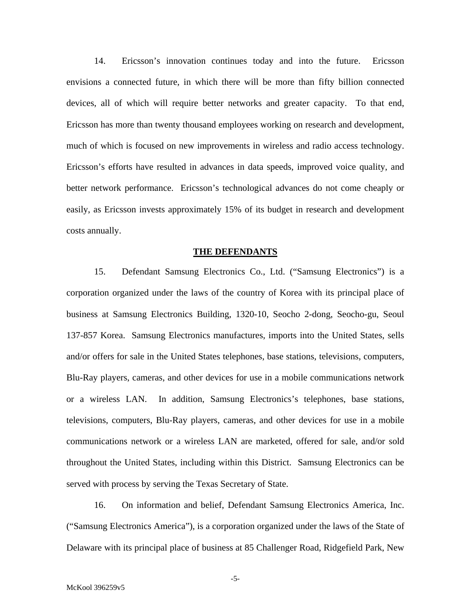14. Ericsson's innovation continues today and into the future. Ericsson envisions a connected future, in which there will be more than fifty billion connected devices, all of which will require better networks and greater capacity. To that end, Ericsson has more than twenty thousand employees working on research and development, much of which is focused on new improvements in wireless and radio access technology. Ericsson's efforts have resulted in advances in data speeds, improved voice quality, and better network performance. Ericsson's technological advances do not come cheaply or easily, as Ericsson invests approximately 15% of its budget in research and development costs annually.

#### **THE DEFENDANTS**

15. Defendant Samsung Electronics Co., Ltd. ("Samsung Electronics") is a corporation organized under the laws of the country of Korea with its principal place of business at Samsung Electronics Building, 1320-10, Seocho 2-dong, Seocho-gu, Seoul 137-857 Korea. Samsung Electronics manufactures, imports into the United States, sells and/or offers for sale in the United States telephones, base stations, televisions, computers, Blu-Ray players, cameras, and other devices for use in a mobile communications network or a wireless LAN. In addition, Samsung Electronics's telephones, base stations, televisions, computers, Blu-Ray players, cameras, and other devices for use in a mobile communications network or a wireless LAN are marketed, offered for sale, and/or sold throughout the United States, including within this District. Samsung Electronics can be served with process by serving the Texas Secretary of State.

16. On information and belief, Defendant Samsung Electronics America, Inc. ("Samsung Electronics America"), is a corporation organized under the laws of the State of Delaware with its principal place of business at 85 Challenger Road, Ridgefield Park, New

-5-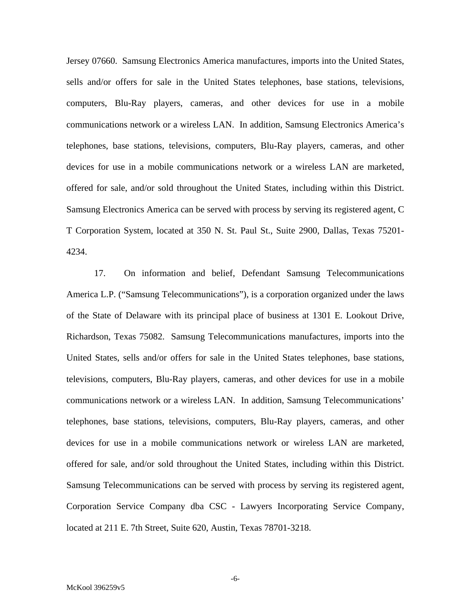Jersey 07660. Samsung Electronics America manufactures, imports into the United States, sells and/or offers for sale in the United States telephones, base stations, televisions, computers, Blu-Ray players, cameras, and other devices for use in a mobile communications network or a wireless LAN. In addition, Samsung Electronics America's telephones, base stations, televisions, computers, Blu-Ray players, cameras, and other devices for use in a mobile communications network or a wireless LAN are marketed, offered for sale, and/or sold throughout the United States, including within this District. Samsung Electronics America can be served with process by serving its registered agent, C T Corporation System, located at 350 N. St. Paul St., Suite 2900, Dallas, Texas 75201- 4234.

17. On information and belief, Defendant Samsung Telecommunications America L.P. ("Samsung Telecommunications"), is a corporation organized under the laws of the State of Delaware with its principal place of business at 1301 E. Lookout Drive, Richardson, Texas 75082. Samsung Telecommunications manufactures, imports into the United States, sells and/or offers for sale in the United States telephones, base stations, televisions, computers, Blu-Ray players, cameras, and other devices for use in a mobile communications network or a wireless LAN. In addition, Samsung Telecommunications' telephones, base stations, televisions, computers, Blu-Ray players, cameras, and other devices for use in a mobile communications network or wireless LAN are marketed, offered for sale, and/or sold throughout the United States, including within this District. Samsung Telecommunications can be served with process by serving its registered agent, Corporation Service Company dba CSC - Lawyers Incorporating Service Company, located at 211 E. 7th Street, Suite 620, Austin, Texas 78701-3218.

-6-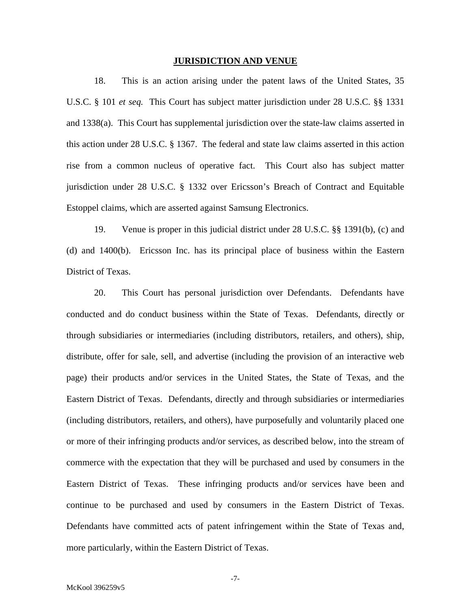## **JURISDICTION AND VENUE**

18. This is an action arising under the patent laws of the United States, 35 U.S.C. § 101 *et seq.* This Court has subject matter jurisdiction under 28 U.S.C. §§ 1331 and 1338(a). This Court has supplemental jurisdiction over the state-law claims asserted in this action under 28 U.S.C. § 1367. The federal and state law claims asserted in this action rise from a common nucleus of operative fact. This Court also has subject matter jurisdiction under 28 U.S.C. § 1332 over Ericsson's Breach of Contract and Equitable Estoppel claims, which are asserted against Samsung Electronics.

19. Venue is proper in this judicial district under 28 U.S.C. §§ 1391(b), (c) and (d) and 1400(b). Ericsson Inc. has its principal place of business within the Eastern District of Texas.

20. This Court has personal jurisdiction over Defendants. Defendants have conducted and do conduct business within the State of Texas. Defendants, directly or through subsidiaries or intermediaries (including distributors, retailers, and others), ship, distribute, offer for sale, sell, and advertise (including the provision of an interactive web page) their products and/or services in the United States, the State of Texas, and the Eastern District of Texas. Defendants, directly and through subsidiaries or intermediaries (including distributors, retailers, and others), have purposefully and voluntarily placed one or more of their infringing products and/or services, as described below, into the stream of commerce with the expectation that they will be purchased and used by consumers in the Eastern District of Texas. These infringing products and/or services have been and continue to be purchased and used by consumers in the Eastern District of Texas. Defendants have committed acts of patent infringement within the State of Texas and, more particularly, within the Eastern District of Texas.

-7-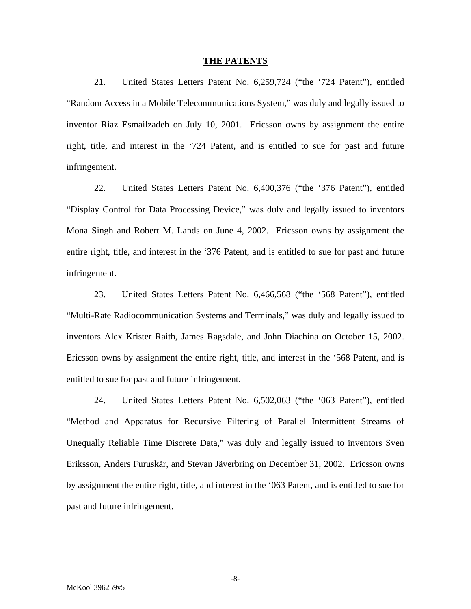#### **THE PATENTS**

21. United States Letters Patent No. 6,259,724 ("the '724 Patent"), entitled "Random Access in a Mobile Telecommunications System," was duly and legally issued to inventor Riaz Esmailzadeh on July 10, 2001. Ericsson owns by assignment the entire right, title, and interest in the '724 Patent, and is entitled to sue for past and future infringement.

22. United States Letters Patent No. 6,400,376 ("the '376 Patent"), entitled "Display Control for Data Processing Device," was duly and legally issued to inventors Mona Singh and Robert M. Lands on June 4, 2002. Ericsson owns by assignment the entire right, title, and interest in the '376 Patent, and is entitled to sue for past and future infringement.

23. United States Letters Patent No. 6,466,568 ("the '568 Patent"), entitled "Multi-Rate Radiocommunication Systems and Terminals," was duly and legally issued to inventors Alex Krister Raith, James Ragsdale, and John Diachina on October 15, 2002. Ericsson owns by assignment the entire right, title, and interest in the '568 Patent, and is entitled to sue for past and future infringement.

24. United States Letters Patent No. 6,502,063 ("the '063 Patent"), entitled "Method and Apparatus for Recursive Filtering of Parallel Intermittent Streams of Unequally Reliable Time Discrete Data," was duly and legally issued to inventors Sven Eriksson, Anders Furuskär, and Stevan Jäverbring on December 31, 2002. Ericsson owns by assignment the entire right, title, and interest in the '063 Patent, and is entitled to sue for past and future infringement.

-8-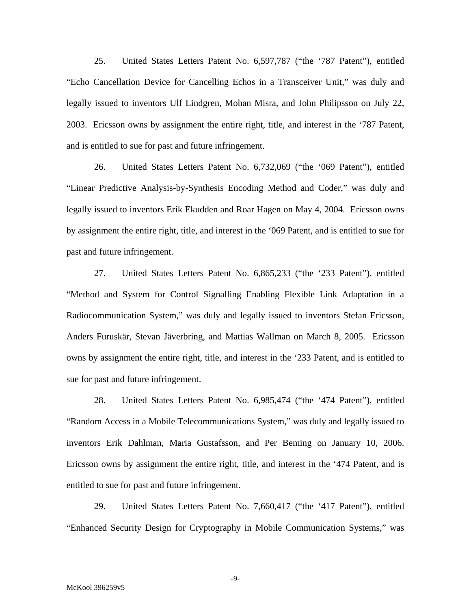25. United States Letters Patent No. 6,597,787 ("the '787 Patent"), entitled "Echo Cancellation Device for Cancelling Echos in a Transceiver Unit," was duly and legally issued to inventors Ulf Lindgren, Mohan Misra, and John Philipsson on July 22, 2003. Ericsson owns by assignment the entire right, title, and interest in the '787 Patent, and is entitled to sue for past and future infringement.

26. United States Letters Patent No. 6,732,069 ("the '069 Patent"), entitled "Linear Predictive Analysis-by-Synthesis Encoding Method and Coder," was duly and legally issued to inventors Erik Ekudden and Roar Hagen on May 4, 2004. Ericsson owns by assignment the entire right, title, and interest in the '069 Patent, and is entitled to sue for past and future infringement.

27. United States Letters Patent No. 6,865,233 ("the '233 Patent"), entitled "Method and System for Control Signalling Enabling Flexible Link Adaptation in a Radiocommunication System," was duly and legally issued to inventors Stefan Ericsson, Anders Furuskär, Stevan Jäverbring, and Mattias Wallman on March 8, 2005. Ericsson owns by assignment the entire right, title, and interest in the '233 Patent, and is entitled to sue for past and future infringement.

28. United States Letters Patent No. 6,985,474 ("the '474 Patent"), entitled "Random Access in a Mobile Telecommunications System," was duly and legally issued to inventors Erik Dahlman, Maria Gustafsson, and Per Beming on January 10, 2006. Ericsson owns by assignment the entire right, title, and interest in the '474 Patent, and is entitled to sue for past and future infringement.

29. United States Letters Patent No. 7,660,417 ("the '417 Patent"), entitled "Enhanced Security Design for Cryptography in Mobile Communication Systems," was

-9-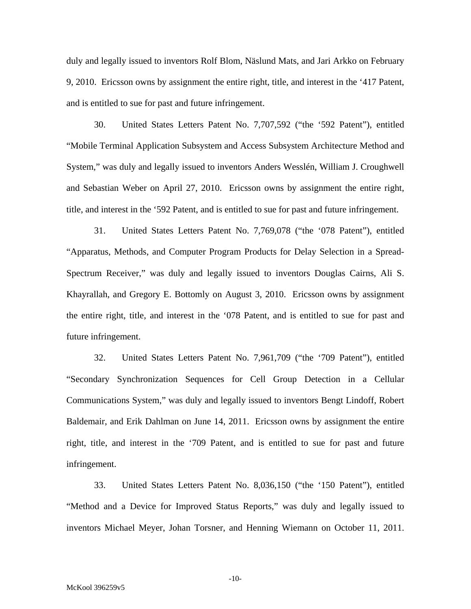duly and legally issued to inventors Rolf Blom, Näslund Mats, and Jari Arkko on February 9, 2010. Ericsson owns by assignment the entire right, title, and interest in the '417 Patent, and is entitled to sue for past and future infringement.

30. United States Letters Patent No. 7,707,592 ("the '592 Patent"), entitled "Mobile Terminal Application Subsystem and Access Subsystem Architecture Method and System," was duly and legally issued to inventors Anders Wesslén, William J. Croughwell and Sebastian Weber on April 27, 2010. Ericsson owns by assignment the entire right, title, and interest in the '592 Patent, and is entitled to sue for past and future infringement.

31. United States Letters Patent No. 7,769,078 ("the '078 Patent"), entitled "Apparatus, Methods, and Computer Program Products for Delay Selection in a Spread-Spectrum Receiver," was duly and legally issued to inventors Douglas Cairns, Ali S. Khayrallah, and Gregory E. Bottomly on August 3, 2010. Ericsson owns by assignment the entire right, title, and interest in the '078 Patent, and is entitled to sue for past and future infringement.

32. United States Letters Patent No. 7,961,709 ("the '709 Patent"), entitled "Secondary Synchronization Sequences for Cell Group Detection in a Cellular Communications System," was duly and legally issued to inventors Bengt Lindoff, Robert Baldemair, and Erik Dahlman on June 14, 2011. Ericsson owns by assignment the entire right, title, and interest in the '709 Patent, and is entitled to sue for past and future infringement.

33. United States Letters Patent No. 8,036,150 ("the '150 Patent"), entitled "Method and a Device for Improved Status Reports," was duly and legally issued to inventors Michael Meyer, Johan Torsner, and Henning Wiemann on October 11, 2011.

-10-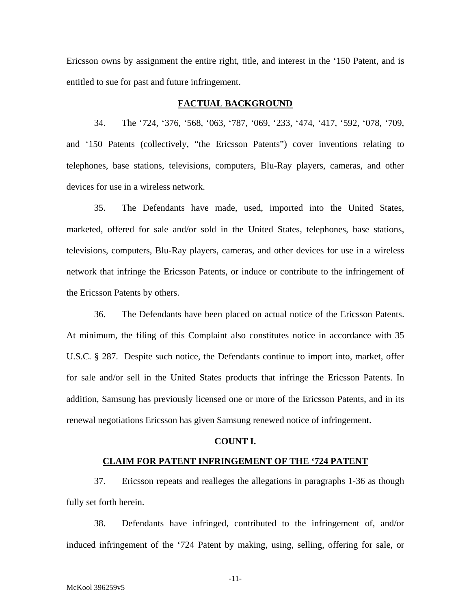Ericsson owns by assignment the entire right, title, and interest in the '150 Patent, and is entitled to sue for past and future infringement.

## **FACTUAL BACKGROUND**

34. The '724, '376, '568, '063, '787, '069, '233, '474, '417, '592, '078, '709, and '150 Patents (collectively, "the Ericsson Patents") cover inventions relating to telephones, base stations, televisions, computers, Blu-Ray players, cameras, and other devices for use in a wireless network.

35. The Defendants have made, used, imported into the United States, marketed, offered for sale and/or sold in the United States, telephones, base stations, televisions, computers, Blu-Ray players, cameras, and other devices for use in a wireless network that infringe the Ericsson Patents, or induce or contribute to the infringement of the Ericsson Patents by others.

36. The Defendants have been placed on actual notice of the Ericsson Patents. At minimum, the filing of this Complaint also constitutes notice in accordance with 35 U.S.C. § 287. Despite such notice, the Defendants continue to import into, market, offer for sale and/or sell in the United States products that infringe the Ericsson Patents. In addition, Samsung has previously licensed one or more of the Ericsson Patents, and in its renewal negotiations Ericsson has given Samsung renewed notice of infringement.

## **COUNT I.**

## **CLAIM FOR PATENT INFRINGEMENT OF THE '724 PATENT**

37. Ericsson repeats and realleges the allegations in paragraphs 1-36 as though fully set forth herein.

38. Defendants have infringed, contributed to the infringement of, and/or induced infringement of the '724 Patent by making, using, selling, offering for sale, or

-11-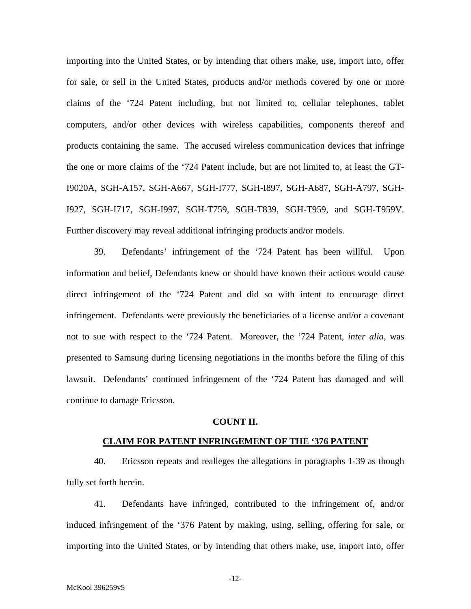importing into the United States, or by intending that others make, use, import into, offer for sale, or sell in the United States, products and/or methods covered by one or more claims of the '724 Patent including, but not limited to, cellular telephones, tablet computers, and/or other devices with wireless capabilities, components thereof and products containing the same. The accused wireless communication devices that infringe the one or more claims of the '724 Patent include, but are not limited to, at least the GT-I9020A, SGH-A157, SGH-A667, SGH-I777, SGH-I897, SGH-A687, SGH-A797, SGH-I927, SGH-I717, SGH-I997, SGH-T759, SGH-T839, SGH-T959, and SGH-T959V. Further discovery may reveal additional infringing products and/or models.

39. Defendants' infringement of the '724 Patent has been willful. Upon information and belief, Defendants knew or should have known their actions would cause direct infringement of the '724 Patent and did so with intent to encourage direct infringement. Defendants were previously the beneficiaries of a license and/or a covenant not to sue with respect to the '724 Patent. Moreover, the '724 Patent, *inter alia*, was presented to Samsung during licensing negotiations in the months before the filing of this lawsuit. Defendants' continued infringement of the '724 Patent has damaged and will continue to damage Ericsson.

## **COUNT II.**

## **CLAIM FOR PATENT INFRINGEMENT OF THE '376 PATENT**

40. Ericsson repeats and realleges the allegations in paragraphs 1-39 as though fully set forth herein.

41. Defendants have infringed, contributed to the infringement of, and/or induced infringement of the '376 Patent by making, using, selling, offering for sale, or importing into the United States, or by intending that others make, use, import into, offer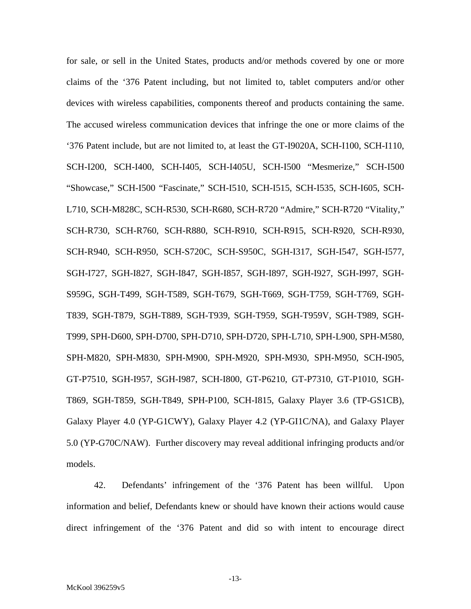for sale, or sell in the United States, products and/or methods covered by one or more claims of the '376 Patent including, but not limited to, tablet computers and/or other devices with wireless capabilities, components thereof and products containing the same. The accused wireless communication devices that infringe the one or more claims of the '376 Patent include, but are not limited to, at least the GT-I9020A, SCH-I100, SCH-I110, SCH-I200, SCH-I400, SCH-I405, SCH-I405U, SCH-I500 "Mesmerize," SCH-I500 "Showcase," SCH-I500 "Fascinate," SCH-I510, SCH-I515, SCH-I535, SCH-I605, SCH-L710, SCH-M828C, SCH-R530, SCH-R680, SCH-R720 "Admire," SCH-R720 "Vitality," SCH-R730, SCH-R760, SCH-R880, SCH-R910, SCH-R915, SCH-R920, SCH-R930, SCH-R940, SCH-R950, SCH-S720C, SCH-S950C, SGH-I317, SGH-I547, SGH-I577, SGH-I727, SGH-I827, SGH-I847, SGH-I857, SGH-I897, SGH-I927, SGH-I997, SGH-S959G, SGH-T499, SGH-T589, SGH-T679, SGH-T669, SGH-T759, SGH-T769, SGH-T839, SGH-T879, SGH-T889, SGH-T939, SGH-T959, SGH-T959V, SGH-T989, SGH-T999, SPH-D600, SPH-D700, SPH-D710, SPH-D720, SPH-L710, SPH-L900, SPH-M580, SPH-M820, SPH-M830, SPH-M900, SPH-M920, SPH-M930, SPH-M950, SCH-I905, GT-P7510, SGH-I957, SGH-I987, SCH-I800, GT-P6210, GT-P7310, GT-P1010, SGH-T869, SGH-T859, SGH-T849, SPH-P100, SCH-I815, Galaxy Player 3.6 (TP-GS1CB), Galaxy Player 4.0 (YP-G1CWY), Galaxy Player 4.2 (YP-GI1C/NA), and Galaxy Player 5.0 (YP-G70C/NAW). Further discovery may reveal additional infringing products and/or models.

42. Defendants' infringement of the '376 Patent has been willful. Upon information and belief, Defendants knew or should have known their actions would cause direct infringement of the '376 Patent and did so with intent to encourage direct

-13-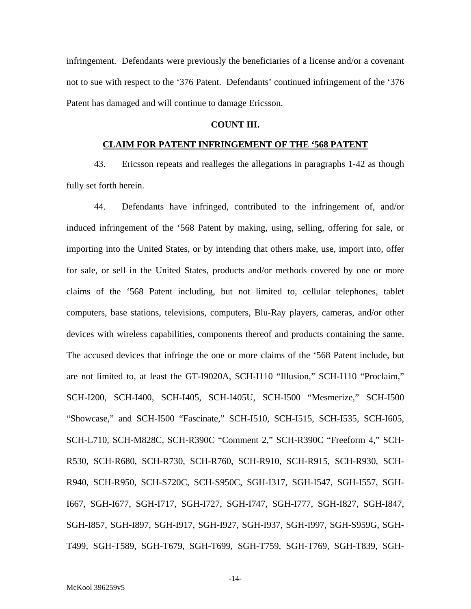infringement. Defendants were previously the beneficiaries of a license and/or a covenant not to sue with respect to the '376 Patent. Defendants' continued infringement of the '376 Patent has damaged and will continue to damage Ericsson.

## **COUNT III.**

## **CLAIM FOR PATENT INFRINGEMENT OF THE '568 PATENT**

43. Ericsson repeats and realleges the allegations in paragraphs 1-42 as though fully set forth herein.

44. Defendants have infringed, contributed to the infringement of, and/or induced infringement of the '568 Patent by making, using, selling, offering for sale, or importing into the United States, or by intending that others make, use, import into, offer for sale, or sell in the United States, products and/or methods covered by one or more claims of the '568 Patent including, but not limited to, cellular telephones, tablet computers, base stations, televisions, computers, Blu-Ray players, cameras, and/or other devices with wireless capabilities, components thereof and products containing the same. The accused devices that infringe the one or more claims of the '568 Patent include, but are not limited to, at least the GT-I9020A, SCH-I110 "Illusion," SCH-I110 "Proclaim," SCH-I200, SCH-I400, SCH-I405, SCH-I405U, SCH-I500 "Mesmerize," SCH-I500 "Showcase," and SCH-I500 "Fascinate," SCH-I510, SCH-I515, SCH-I535, SCH-I605, SCH-L710, SCH-M828C, SCH-R390C "Comment 2," SCH-R390C "Freeform 4," SCH-R530, SCH-R680, SCH-R730, SCH-R760, SCH-R910, SCH-R915, SCH-R930, SCH-R940, SCH-R950, SCH-S720C, SCH-S950C, SGH-I317, SGH-I547, SGH-I557, SGH-I667, SGH-I677, SGH-I717, SGH-I727, SGH-I747, SGH-I777, SGH-I827, SGH-I847, SGH-I857, SGH-I897, SGH-I917, SGH-I927, SGH-I937, SGH-I997, SGH-S959G, SGH-T499, SGH-T589, SGH-T679, SGH-T699, SGH-T759, SGH-T769, SGH-T839, SGH-

-14-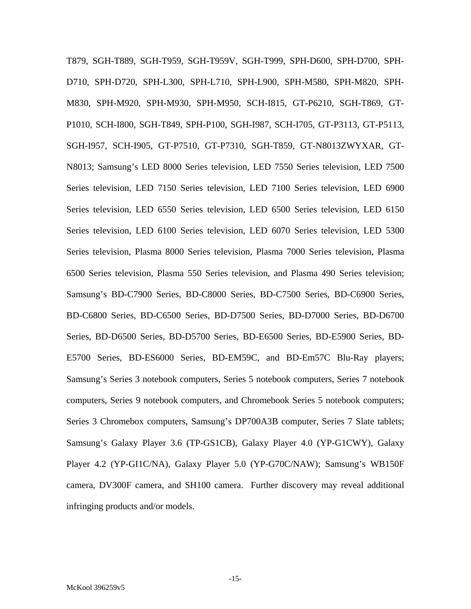T879, SGH-T889, SGH-T959, SGH-T959V, SGH-T999, SPH-D600, SPH-D700, SPH-D710, SPH-D720, SPH-L300, SPH-L710, SPH-L900, SPH-M580, SPH-M820, SPH-M830, SPH-M920, SPH-M930, SPH-M950, SCH-I815, GT-P6210, SGH-T869, GT-P1010, SCH-I800, SGH-T849, SPH-P100, SGH-I987, SCH-I705, GT-P3113, GT-P5113, SGH-I957, SCH-I905, GT-P7510, GT-P7310, SGH-T859, GT-N8013ZWYXAR, GT-N8013; Samsung's LED 8000 Series television, LED 7550 Series television, LED 7500 Series television, LED 7150 Series television, LED 7100 Series television, LED 6900 Series television, LED 6550 Series television, LED 6500 Series television, LED 6150 Series television, LED 6100 Series television, LED 6070 Series television, LED 5300 Series television, Plasma 8000 Series television, Plasma 7000 Series television, Plasma 6500 Series television, Plasma 550 Series television, and Plasma 490 Series television; Samsung's BD-C7900 Series, BD-C8000 Series, BD-C7500 Series, BD-C6900 Series, BD-C6800 Series, BD-C6500 Series, BD-D7500 Series, BD-D7000 Series, BD-D6700 Series, BD-D6500 Series, BD-D5700 Series, BD-E6500 Series, BD-E5900 Series, BD-E5700 Series, BD-ES6000 Series, BD-EM59C, and BD-Em57C Blu-Ray players; Samsung's Series 3 notebook computers, Series 5 notebook computers, Series 7 notebook computers, Series 9 notebook computers, and Chromebook Series 5 notebook computers; Series 3 Chromebox computers, Samsung's DP700A3B computer, Series 7 Slate tablets; Samsung's Galaxy Player 3.6 (TP-GS1CB), Galaxy Player 4.0 (YP-G1CWY), Galaxy Player 4.2 (YP-GI1C/NA), Galaxy Player 5.0 (YP-G70C/NAW); Samsung's WB150F camera, DV300F camera, and SH100 camera. Further discovery may reveal additional infringing products and/or models.

-15-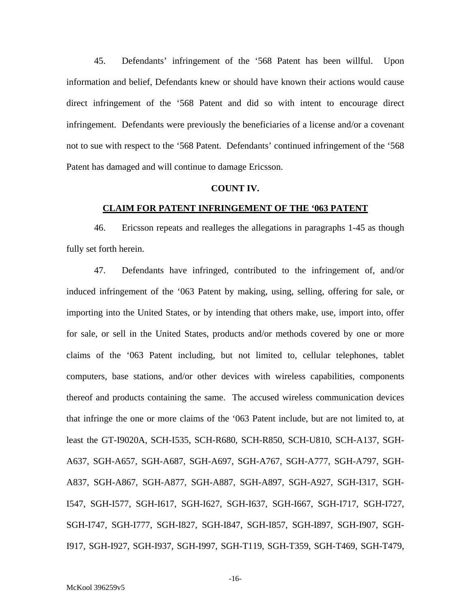45. Defendants' infringement of the '568 Patent has been willful. Upon information and belief, Defendants knew or should have known their actions would cause direct infringement of the '568 Patent and did so with intent to encourage direct infringement. Defendants were previously the beneficiaries of a license and/or a covenant not to sue with respect to the '568 Patent. Defendants' continued infringement of the '568 Patent has damaged and will continue to damage Ericsson.

#### **COUNT IV.**

#### **CLAIM FOR PATENT INFRINGEMENT OF THE '063 PATENT**

46. Ericsson repeats and realleges the allegations in paragraphs 1-45 as though fully set forth herein.

47. Defendants have infringed, contributed to the infringement of, and/or induced infringement of the '063 Patent by making, using, selling, offering for sale, or importing into the United States, or by intending that others make, use, import into, offer for sale, or sell in the United States, products and/or methods covered by one or more claims of the '063 Patent including, but not limited to, cellular telephones, tablet computers, base stations, and/or other devices with wireless capabilities, components thereof and products containing the same. The accused wireless communication devices that infringe the one or more claims of the '063 Patent include, but are not limited to, at least the GT-I9020A, SCH-I535, SCH-R680, SCH-R850, SCH-U810, SCH-A137, SGH-A637, SGH-A657, SGH-A687, SGH-A697, SGH-A767, SGH-A777, SGH-A797, SGH-A837, SGH-A867, SGH-A877, SGH-A887, SGH-A897, SGH-A927, SGH-I317, SGH-I547, SGH-I577, SGH-I617, SGH-I627, SGH-I637, SGH-I667, SGH-I717, SGH-I727, SGH-I747, SGH-I777, SGH-I827, SGH-I847, SGH-I857, SGH-I897, SGH-I907, SGH-I917, SGH-I927, SGH-I937, SGH-I997, SGH-T119, SGH-T359, SGH-T469, SGH-T479,

-16-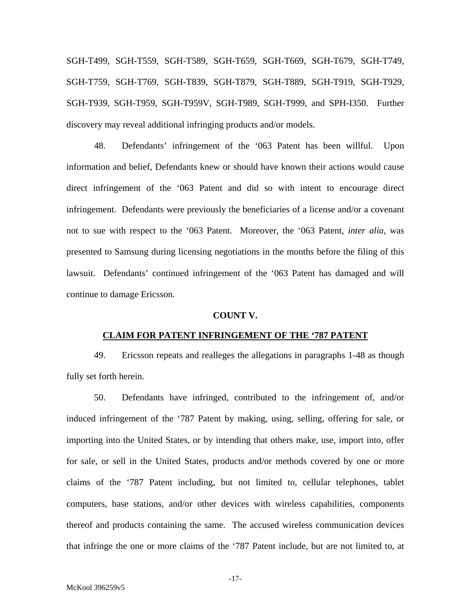SGH-T499, SGH-T559, SGH-T589, SGH-T659, SGH-T669, SGH-T679, SGH-T749, SGH-T759, SGH-T769, SGH-T839, SGH-T879, SGH-T889, SGH-T919, SGH-T929, SGH-T939, SGH-T959, SGH-T959V, SGH-T989, SGH-T999, and SPH-I350. Further discovery may reveal additional infringing products and/or models.

48. Defendants' infringement of the '063 Patent has been willful. Upon information and belief, Defendants knew or should have known their actions would cause direct infringement of the '063 Patent and did so with intent to encourage direct infringement. Defendants were previously the beneficiaries of a license and/or a covenant not to sue with respect to the '063 Patent. Moreover, the '063 Patent, *inter alia*, was presented to Samsung during licensing negotiations in the months before the filing of this lawsuit. Defendants' continued infringement of the '063 Patent has damaged and will continue to damage Ericsson.

## **COUNT V.**

#### **CLAIM FOR PATENT INFRINGEMENT OF THE '787 PATENT**

49. Ericsson repeats and realleges the allegations in paragraphs 1-48 as though fully set forth herein.

50. Defendants have infringed, contributed to the infringement of, and/or induced infringement of the '787 Patent by making, using, selling, offering for sale, or importing into the United States, or by intending that others make, use, import into, offer for sale, or sell in the United States, products and/or methods covered by one or more claims of the '787 Patent including, but not limited to, cellular telephones, tablet computers, base stations, and/or other devices with wireless capabilities, components thereof and products containing the same. The accused wireless communication devices that infringe the one or more claims of the '787 Patent include, but are not limited to, at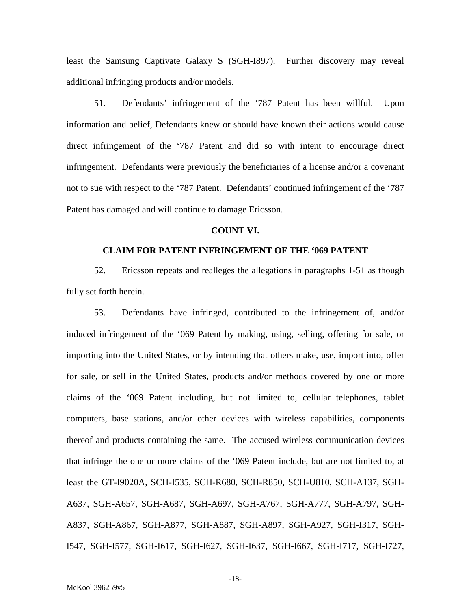least the Samsung Captivate Galaxy S (SGH-I897). Further discovery may reveal additional infringing products and/or models.

51. Defendants' infringement of the '787 Patent has been willful. Upon information and belief, Defendants knew or should have known their actions would cause direct infringement of the '787 Patent and did so with intent to encourage direct infringement. Defendants were previously the beneficiaries of a license and/or a covenant not to sue with respect to the '787 Patent. Defendants' continued infringement of the '787 Patent has damaged and will continue to damage Ericsson.

## **COUNT VI.**

## **CLAIM FOR PATENT INFRINGEMENT OF THE '069 PATENT**

52. Ericsson repeats and realleges the allegations in paragraphs 1-51 as though fully set forth herein.

53. Defendants have infringed, contributed to the infringement of, and/or induced infringement of the '069 Patent by making, using, selling, offering for sale, or importing into the United States, or by intending that others make, use, import into, offer for sale, or sell in the United States, products and/or methods covered by one or more claims of the '069 Patent including, but not limited to, cellular telephones, tablet computers, base stations, and/or other devices with wireless capabilities, components thereof and products containing the same. The accused wireless communication devices that infringe the one or more claims of the '069 Patent include, but are not limited to, at least the GT-I9020A, SCH-I535, SCH-R680, SCH-R850, SCH-U810, SCH-A137, SGH-A637, SGH-A657, SGH-A687, SGH-A697, SGH-A767, SGH-A777, SGH-A797, SGH-A837, SGH-A867, SGH-A877, SGH-A887, SGH-A897, SGH-A927, SGH-I317, SGH-I547, SGH-I577, SGH-I617, SGH-I627, SGH-I637, SGH-I667, SGH-I717, SGH-I727,

-18-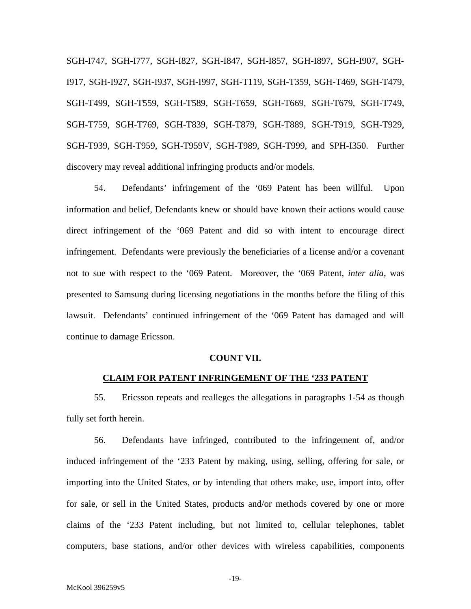SGH-I747, SGH-I777, SGH-I827, SGH-I847, SGH-I857, SGH-I897, SGH-I907, SGH-I917, SGH-I927, SGH-I937, SGH-I997, SGH-T119, SGH-T359, SGH-T469, SGH-T479, SGH-T499, SGH-T559, SGH-T589, SGH-T659, SGH-T669, SGH-T679, SGH-T749, SGH-T759, SGH-T769, SGH-T839, SGH-T879, SGH-T889, SGH-T919, SGH-T929, SGH-T939, SGH-T959, SGH-T959V, SGH-T989, SGH-T999, and SPH-I350. Further discovery may reveal additional infringing products and/or models.

54. Defendants' infringement of the '069 Patent has been willful. Upon information and belief, Defendants knew or should have known their actions would cause direct infringement of the '069 Patent and did so with intent to encourage direct infringement. Defendants were previously the beneficiaries of a license and/or a covenant not to sue with respect to the '069 Patent. Moreover, the '069 Patent, *inter alia*, was presented to Samsung during licensing negotiations in the months before the filing of this lawsuit. Defendants' continued infringement of the '069 Patent has damaged and will continue to damage Ericsson.

#### **COUNT VII.**

#### **CLAIM FOR PATENT INFRINGEMENT OF THE '233 PATENT**

55. Ericsson repeats and realleges the allegations in paragraphs 1-54 as though fully set forth herein.

56. Defendants have infringed, contributed to the infringement of, and/or induced infringement of the '233 Patent by making, using, selling, offering for sale, or importing into the United States, or by intending that others make, use, import into, offer for sale, or sell in the United States, products and/or methods covered by one or more claims of the '233 Patent including, but not limited to, cellular telephones, tablet computers, base stations, and/or other devices with wireless capabilities, components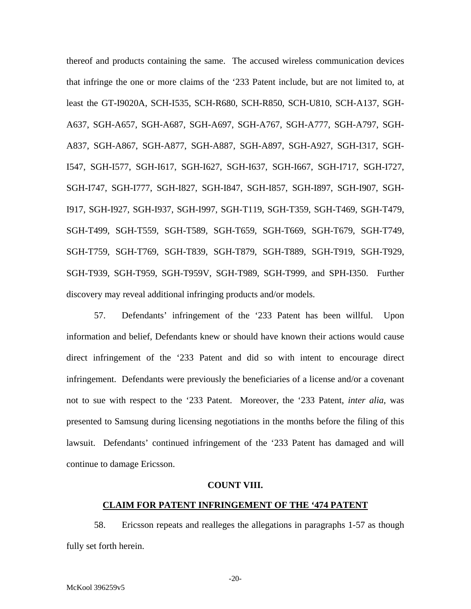thereof and products containing the same. The accused wireless communication devices that infringe the one or more claims of the '233 Patent include, but are not limited to, at least the GT-I9020A, SCH-I535, SCH-R680, SCH-R850, SCH-U810, SCH-A137, SGH-A637, SGH-A657, SGH-A687, SGH-A697, SGH-A767, SGH-A777, SGH-A797, SGH-A837, SGH-A867, SGH-A877, SGH-A887, SGH-A897, SGH-A927, SGH-I317, SGH-I547, SGH-I577, SGH-I617, SGH-I627, SGH-I637, SGH-I667, SGH-I717, SGH-I727, SGH-I747, SGH-I777, SGH-I827, SGH-I847, SGH-I857, SGH-I897, SGH-I907, SGH-I917, SGH-I927, SGH-I937, SGH-I997, SGH-T119, SGH-T359, SGH-T469, SGH-T479, SGH-T499, SGH-T559, SGH-T589, SGH-T659, SGH-T669, SGH-T679, SGH-T749, SGH-T759, SGH-T769, SGH-T839, SGH-T879, SGH-T889, SGH-T919, SGH-T929, SGH-T939, SGH-T959, SGH-T959V, SGH-T989, SGH-T999, and SPH-I350. Further discovery may reveal additional infringing products and/or models.

57. Defendants' infringement of the '233 Patent has been willful. Upon information and belief, Defendants knew or should have known their actions would cause direct infringement of the '233 Patent and did so with intent to encourage direct infringement. Defendants were previously the beneficiaries of a license and/or a covenant not to sue with respect to the '233 Patent. Moreover, the '233 Patent, *inter alia*, was presented to Samsung during licensing negotiations in the months before the filing of this lawsuit. Defendants' continued infringement of the '233 Patent has damaged and will continue to damage Ericsson.

#### **COUNT VIII.**

## **CLAIM FOR PATENT INFRINGEMENT OF THE '474 PATENT**

58. Ericsson repeats and realleges the allegations in paragraphs 1-57 as though fully set forth herein.

-20-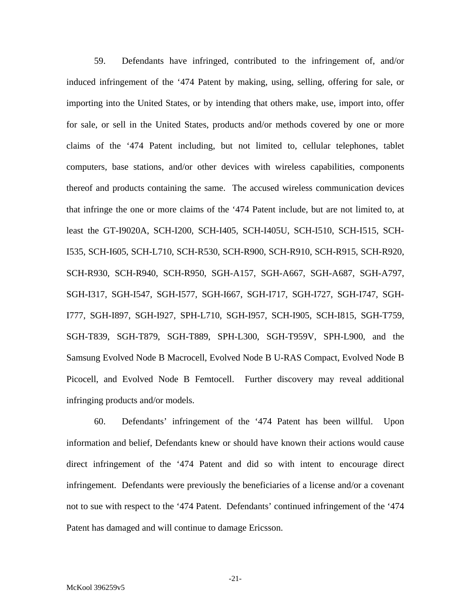59. Defendants have infringed, contributed to the infringement of, and/or induced infringement of the '474 Patent by making, using, selling, offering for sale, or importing into the United States, or by intending that others make, use, import into, offer for sale, or sell in the United States, products and/or methods covered by one or more claims of the '474 Patent including, but not limited to, cellular telephones, tablet computers, base stations, and/or other devices with wireless capabilities, components thereof and products containing the same. The accused wireless communication devices that infringe the one or more claims of the '474 Patent include, but are not limited to, at least the GT-I9020A, SCH-I200, SCH-I405, SCH-I405U, SCH-I510, SCH-I515, SCH-I535, SCH-I605, SCH-L710, SCH-R530, SCH-R900, SCH-R910, SCH-R915, SCH-R920, SCH-R930, SCH-R940, SCH-R950, SGH-A157, SGH-A667, SGH-A687, SGH-A797, SGH-I317, SGH-I547, SGH-I577, SGH-I667, SGH-I717, SGH-I727, SGH-I747, SGH-I777, SGH-I897, SGH-I927, SPH-L710, SGH-I957, SCH-I905, SCH-I815, SGH-T759, SGH-T839, SGH-T879, SGH-T889, SPH-L300, SGH-T959V, SPH-L900, and the Samsung Evolved Node B Macrocell, Evolved Node B U-RAS Compact, Evolved Node B Picocell, and Evolved Node B Femtocell. Further discovery may reveal additional infringing products and/or models.

60. Defendants' infringement of the '474 Patent has been willful. Upon information and belief, Defendants knew or should have known their actions would cause direct infringement of the '474 Patent and did so with intent to encourage direct infringement. Defendants were previously the beneficiaries of a license and/or a covenant not to sue with respect to the '474 Patent. Defendants' continued infringement of the '474 Patent has damaged and will continue to damage Ericsson.

-21-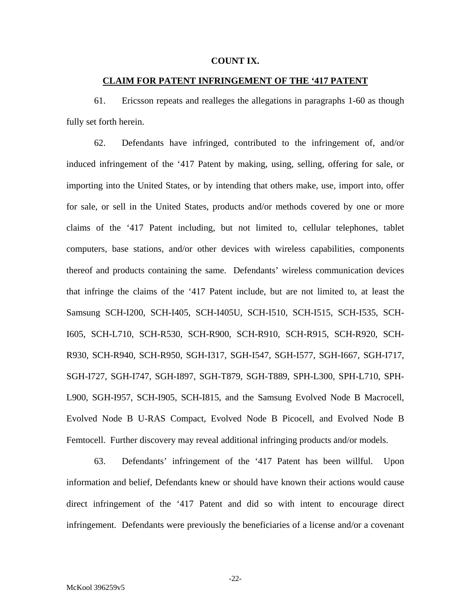## **COUNT IX.**

## **CLAIM FOR PATENT INFRINGEMENT OF THE '417 PATENT**

61. Ericsson repeats and realleges the allegations in paragraphs 1-60 as though fully set forth herein.

62. Defendants have infringed, contributed to the infringement of, and/or induced infringement of the '417 Patent by making, using, selling, offering for sale, or importing into the United States, or by intending that others make, use, import into, offer for sale, or sell in the United States, products and/or methods covered by one or more claims of the '417 Patent including, but not limited to, cellular telephones, tablet computers, base stations, and/or other devices with wireless capabilities, components thereof and products containing the same. Defendants' wireless communication devices that infringe the claims of the '417 Patent include, but are not limited to, at least the Samsung SCH-I200, SCH-I405, SCH-I405U, SCH-I510, SCH-I515, SCH-I535, SCH-I605, SCH-L710, SCH-R530, SCH-R900, SCH-R910, SCH-R915, SCH-R920, SCH-R930, SCH-R940, SCH-R950, SGH-I317, SGH-I547, SGH-I577, SGH-I667, SGH-I717, SGH-I727, SGH-I747, SGH-I897, SGH-T879, SGH-T889, SPH-L300, SPH-L710, SPH-L900, SGH-I957, SCH-I905, SCH-I815, and the Samsung Evolved Node B Macrocell, Evolved Node B U-RAS Compact, Evolved Node B Picocell, and Evolved Node B Femtocell. Further discovery may reveal additional infringing products and/or models.

63. Defendants' infringement of the '417 Patent has been willful. Upon information and belief, Defendants knew or should have known their actions would cause direct infringement of the '417 Patent and did so with intent to encourage direct infringement. Defendants were previously the beneficiaries of a license and/or a covenant

-22-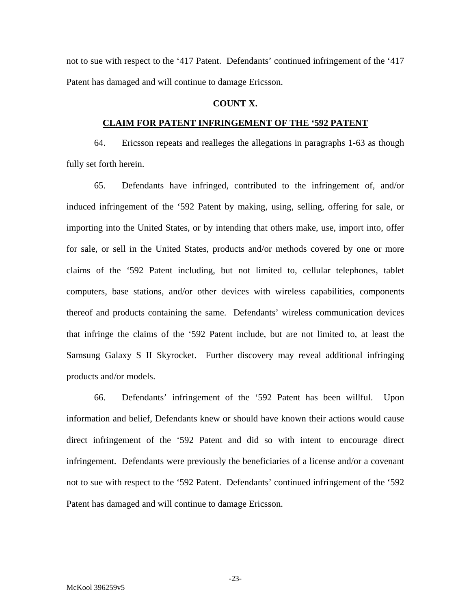not to sue with respect to the '417 Patent. Defendants' continued infringement of the '417 Patent has damaged and will continue to damage Ericsson.

# **COUNT X.**

## **CLAIM FOR PATENT INFRINGEMENT OF THE '592 PATENT**

64. Ericsson repeats and realleges the allegations in paragraphs 1-63 as though fully set forth herein.

65. Defendants have infringed, contributed to the infringement of, and/or induced infringement of the '592 Patent by making, using, selling, offering for sale, or importing into the United States, or by intending that others make, use, import into, offer for sale, or sell in the United States, products and/or methods covered by one or more claims of the '592 Patent including, but not limited to, cellular telephones, tablet computers, base stations, and/or other devices with wireless capabilities, components thereof and products containing the same. Defendants' wireless communication devices that infringe the claims of the '592 Patent include, but are not limited to, at least the Samsung Galaxy S II Skyrocket. Further discovery may reveal additional infringing products and/or models.

66. Defendants' infringement of the '592 Patent has been willful. Upon information and belief, Defendants knew or should have known their actions would cause direct infringement of the '592 Patent and did so with intent to encourage direct infringement. Defendants were previously the beneficiaries of a license and/or a covenant not to sue with respect to the '592 Patent. Defendants' continued infringement of the '592 Patent has damaged and will continue to damage Ericsson.

-23-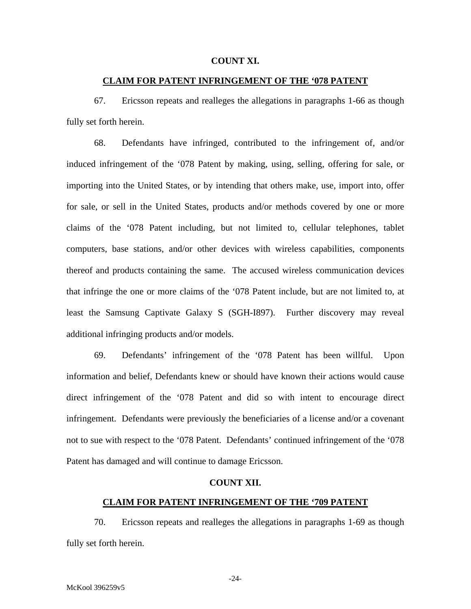## **COUNT XI.**

## **CLAIM FOR PATENT INFRINGEMENT OF THE '078 PATENT**

67. Ericsson repeats and realleges the allegations in paragraphs 1-66 as though fully set forth herein.

68. Defendants have infringed, contributed to the infringement of, and/or induced infringement of the '078 Patent by making, using, selling, offering for sale, or importing into the United States, or by intending that others make, use, import into, offer for sale, or sell in the United States, products and/or methods covered by one or more claims of the '078 Patent including, but not limited to, cellular telephones, tablet computers, base stations, and/or other devices with wireless capabilities, components thereof and products containing the same. The accused wireless communication devices that infringe the one or more claims of the '078 Patent include, but are not limited to, at least the Samsung Captivate Galaxy S (SGH-I897). Further discovery may reveal additional infringing products and/or models.

69. Defendants' infringement of the '078 Patent has been willful. Upon information and belief, Defendants knew or should have known their actions would cause direct infringement of the '078 Patent and did so with intent to encourage direct infringement. Defendants were previously the beneficiaries of a license and/or a covenant not to sue with respect to the '078 Patent. Defendants' continued infringement of the '078 Patent has damaged and will continue to damage Ericsson.

## **COUNT XII.**

#### **CLAIM FOR PATENT INFRINGEMENT OF THE '709 PATENT**

70. Ericsson repeats and realleges the allegations in paragraphs 1-69 as though fully set forth herein.

-24-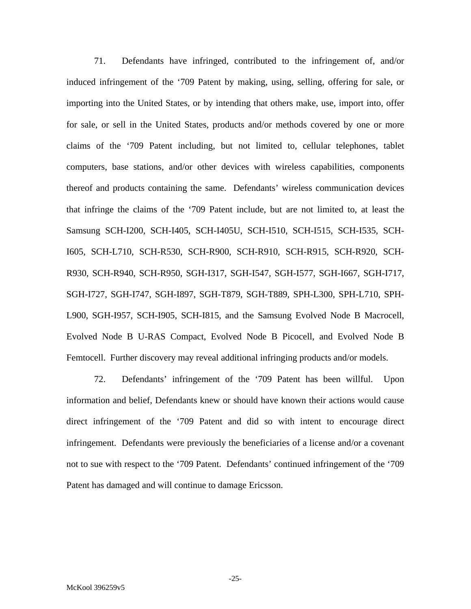71. Defendants have infringed, contributed to the infringement of, and/or induced infringement of the '709 Patent by making, using, selling, offering for sale, or importing into the United States, or by intending that others make, use, import into, offer for sale, or sell in the United States, products and/or methods covered by one or more claims of the '709 Patent including, but not limited to, cellular telephones, tablet computers, base stations, and/or other devices with wireless capabilities, components thereof and products containing the same. Defendants' wireless communication devices that infringe the claims of the '709 Patent include, but are not limited to, at least the Samsung SCH-I200, SCH-I405, SCH-I405U, SCH-I510, SCH-I515, SCH-I535, SCH-I605, SCH-L710, SCH-R530, SCH-R900, SCH-R910, SCH-R915, SCH-R920, SCH-R930, SCH-R940, SCH-R950, SGH-I317, SGH-I547, SGH-I577, SGH-I667, SGH-I717, SGH-I727, SGH-I747, SGH-I897, SGH-T879, SGH-T889, SPH-L300, SPH-L710, SPH-L900, SGH-I957, SCH-I905, SCH-I815, and the Samsung Evolved Node B Macrocell, Evolved Node B U-RAS Compact, Evolved Node B Picocell, and Evolved Node B Femtocell. Further discovery may reveal additional infringing products and/or models.

72. Defendants' infringement of the '709 Patent has been willful. Upon information and belief, Defendants knew or should have known their actions would cause direct infringement of the '709 Patent and did so with intent to encourage direct infringement. Defendants were previously the beneficiaries of a license and/or a covenant not to sue with respect to the '709 Patent. Defendants' continued infringement of the '709 Patent has damaged and will continue to damage Ericsson.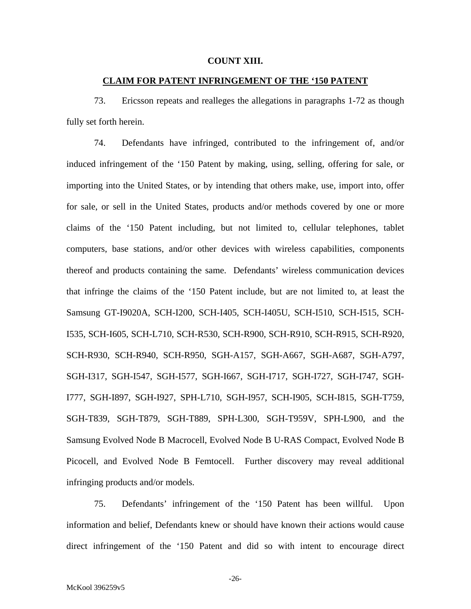## **COUNT XIII.**

## **CLAIM FOR PATENT INFRINGEMENT OF THE '150 PATENT**

73. Ericsson repeats and realleges the allegations in paragraphs 1-72 as though fully set forth herein.

74. Defendants have infringed, contributed to the infringement of, and/or induced infringement of the '150 Patent by making, using, selling, offering for sale, or importing into the United States, or by intending that others make, use, import into, offer for sale, or sell in the United States, products and/or methods covered by one or more claims of the '150 Patent including, but not limited to, cellular telephones, tablet computers, base stations, and/or other devices with wireless capabilities, components thereof and products containing the same. Defendants' wireless communication devices that infringe the claims of the '150 Patent include, but are not limited to, at least the Samsung GT-I9020A, SCH-I200, SCH-I405, SCH-I405U, SCH-I510, SCH-I515, SCH-I535, SCH-I605, SCH-L710, SCH-R530, SCH-R900, SCH-R910, SCH-R915, SCH-R920, SCH-R930, SCH-R940, SCH-R950, SGH-A157, SGH-A667, SGH-A687, SGH-A797, SGH-I317, SGH-I547, SGH-I577, SGH-I667, SGH-I717, SGH-I727, SGH-I747, SGH-I777, SGH-I897, SGH-I927, SPH-L710, SGH-I957, SCH-I905, SCH-I815, SGH-T759, SGH-T839, SGH-T879, SGH-T889, SPH-L300, SGH-T959V, SPH-L900, and the Samsung Evolved Node B Macrocell, Evolved Node B U-RAS Compact, Evolved Node B Picocell, and Evolved Node B Femtocell. Further discovery may reveal additional infringing products and/or models.

75. Defendants' infringement of the '150 Patent has been willful. Upon information and belief, Defendants knew or should have known their actions would cause direct infringement of the '150 Patent and did so with intent to encourage direct

-26-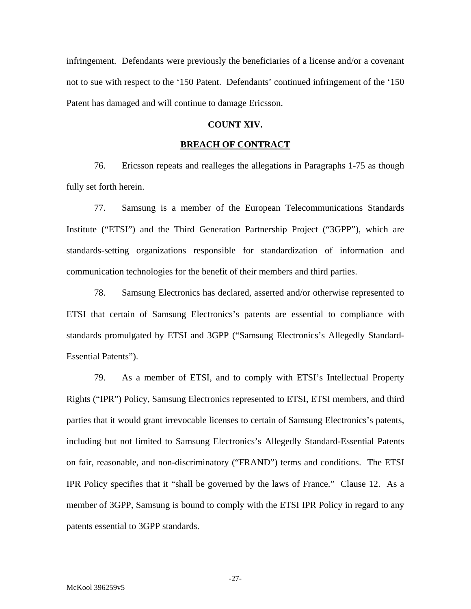infringement. Defendants were previously the beneficiaries of a license and/or a covenant not to sue with respect to the '150 Patent. Defendants' continued infringement of the '150 Patent has damaged and will continue to damage Ericsson.

## **COUNT XIV.**

## **BREACH OF CONTRACT**

76. Ericsson repeats and realleges the allegations in Paragraphs 1-75 as though fully set forth herein.

77. Samsung is a member of the European Telecommunications Standards Institute ("ETSI") and the Third Generation Partnership Project ("3GPP"), which are standards-setting organizations responsible for standardization of information and communication technologies for the benefit of their members and third parties.

78. Samsung Electronics has declared, asserted and/or otherwise represented to ETSI that certain of Samsung Electronics's patents are essential to compliance with standards promulgated by ETSI and 3GPP ("Samsung Electronics's Allegedly Standard-Essential Patents").

79. As a member of ETSI, and to comply with ETSI's Intellectual Property Rights ("IPR") Policy, Samsung Electronics represented to ETSI, ETSI members, and third parties that it would grant irrevocable licenses to certain of Samsung Electronics's patents, including but not limited to Samsung Electronics's Allegedly Standard-Essential Patents on fair, reasonable, and non-discriminatory ("FRAND") terms and conditions. The ETSI IPR Policy specifies that it "shall be governed by the laws of France." Clause 12. As a member of 3GPP, Samsung is bound to comply with the ETSI IPR Policy in regard to any patents essential to 3GPP standards.

-27-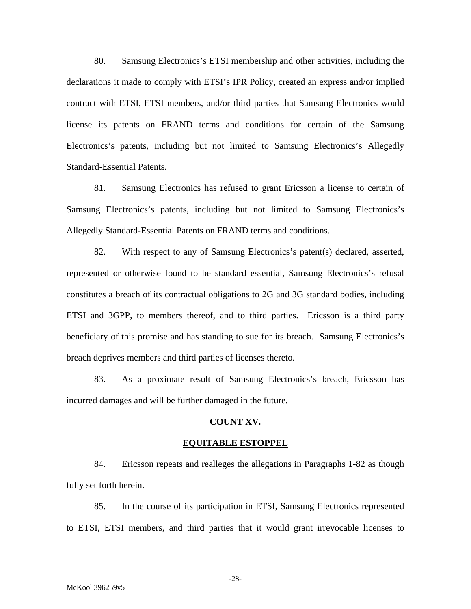80. Samsung Electronics's ETSI membership and other activities, including the declarations it made to comply with ETSI's IPR Policy, created an express and/or implied contract with ETSI, ETSI members, and/or third parties that Samsung Electronics would license its patents on FRAND terms and conditions for certain of the Samsung Electronics's patents, including but not limited to Samsung Electronics's Allegedly Standard-Essential Patents.

81. Samsung Electronics has refused to grant Ericsson a license to certain of Samsung Electronics's patents, including but not limited to Samsung Electronics's Allegedly Standard-Essential Patents on FRAND terms and conditions.

82. With respect to any of Samsung Electronics's patent(s) declared, asserted, represented or otherwise found to be standard essential, Samsung Electronics's refusal constitutes a breach of its contractual obligations to 2G and 3G standard bodies, including ETSI and 3GPP, to members thereof, and to third parties. Ericsson is a third party beneficiary of this promise and has standing to sue for its breach. Samsung Electronics's breach deprives members and third parties of licenses thereto.

83. As a proximate result of Samsung Electronics's breach, Ericsson has incurred damages and will be further damaged in the future.

## **COUNT XV.**

#### **EQUITABLE ESTOPPEL**

84. Ericsson repeats and realleges the allegations in Paragraphs 1-82 as though fully set forth herein.

85. In the course of its participation in ETSI, Samsung Electronics represented to ETSI, ETSI members, and third parties that it would grant irrevocable licenses to

-28-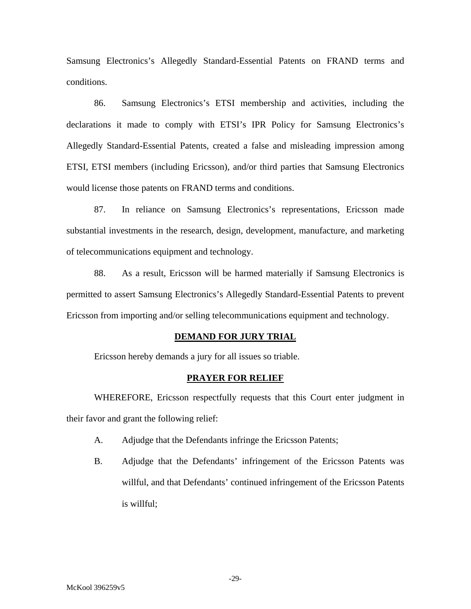Samsung Electronics's Allegedly Standard-Essential Patents on FRAND terms and conditions.

86. Samsung Electronics's ETSI membership and activities, including the declarations it made to comply with ETSI's IPR Policy for Samsung Electronics's Allegedly Standard-Essential Patents, created a false and misleading impression among ETSI, ETSI members (including Ericsson), and/or third parties that Samsung Electronics would license those patents on FRAND terms and conditions.

87. In reliance on Samsung Electronics's representations, Ericsson made substantial investments in the research, design, development, manufacture, and marketing of telecommunications equipment and technology.

88. As a result, Ericsson will be harmed materially if Samsung Electronics is permitted to assert Samsung Electronics's Allegedly Standard-Essential Patents to prevent Ericsson from importing and/or selling telecommunications equipment and technology.

## **DEMAND FOR JURY TRIAL**

Ericsson hereby demands a jury for all issues so triable.

## **PRAYER FOR RELIEF**

WHEREFORE, Ericsson respectfully requests that this Court enter judgment in their favor and grant the following relief:

- A. Adjudge that the Defendants infringe the Ericsson Patents;
- B. Adjudge that the Defendants' infringement of the Ericsson Patents was willful, and that Defendants' continued infringement of the Ericsson Patents is willful;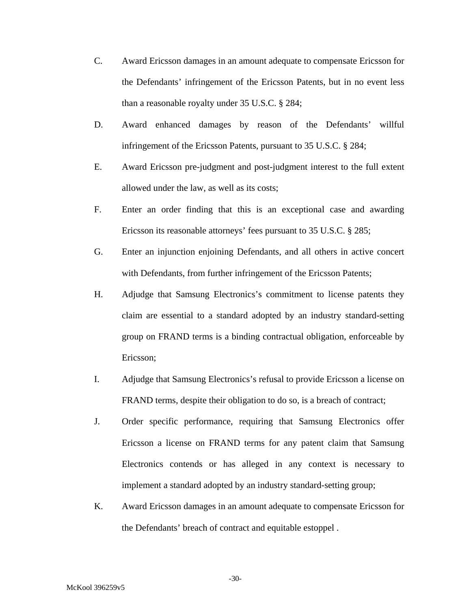- C. Award Ericsson damages in an amount adequate to compensate Ericsson for the Defendants' infringement of the Ericsson Patents, but in no event less than a reasonable royalty under 35 U.S.C. § 284;
- D. Award enhanced damages by reason of the Defendants' willful infringement of the Ericsson Patents, pursuant to 35 U.S.C. § 284;
- E. Award Ericsson pre-judgment and post-judgment interest to the full extent allowed under the law, as well as its costs;
- F. Enter an order finding that this is an exceptional case and awarding Ericsson its reasonable attorneys' fees pursuant to 35 U.S.C. § 285;
- G. Enter an injunction enjoining Defendants, and all others in active concert with Defendants, from further infringement of the Ericsson Patents;
- H. Adjudge that Samsung Electronics's commitment to license patents they claim are essential to a standard adopted by an industry standard-setting group on FRAND terms is a binding contractual obligation, enforceable by Ericsson;
- I. Adjudge that Samsung Electronics's refusal to provide Ericsson a license on FRAND terms, despite their obligation to do so, is a breach of contract;
- J. Order specific performance, requiring that Samsung Electronics offer Ericsson a license on FRAND terms for any patent claim that Samsung Electronics contends or has alleged in any context is necessary to implement a standard adopted by an industry standard-setting group;
- K. Award Ericsson damages in an amount adequate to compensate Ericsson for the Defendants' breach of contract and equitable estoppel .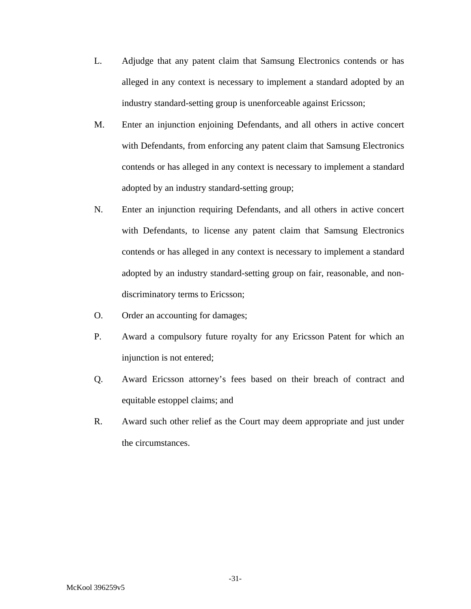- L. Adjudge that any patent claim that Samsung Electronics contends or has alleged in any context is necessary to implement a standard adopted by an industry standard-setting group is unenforceable against Ericsson;
- M. Enter an injunction enjoining Defendants, and all others in active concert with Defendants, from enforcing any patent claim that Samsung Electronics contends or has alleged in any context is necessary to implement a standard adopted by an industry standard-setting group;
- N. Enter an injunction requiring Defendants, and all others in active concert with Defendants, to license any patent claim that Samsung Electronics contends or has alleged in any context is necessary to implement a standard adopted by an industry standard-setting group on fair, reasonable, and nondiscriminatory terms to Ericsson;
- O. Order an accounting for damages;
- P. Award a compulsory future royalty for any Ericsson Patent for which an injunction is not entered;
- Q. Award Ericsson attorney's fees based on their breach of contract and equitable estoppel claims; and
- R. Award such other relief as the Court may deem appropriate and just under the circumstances.